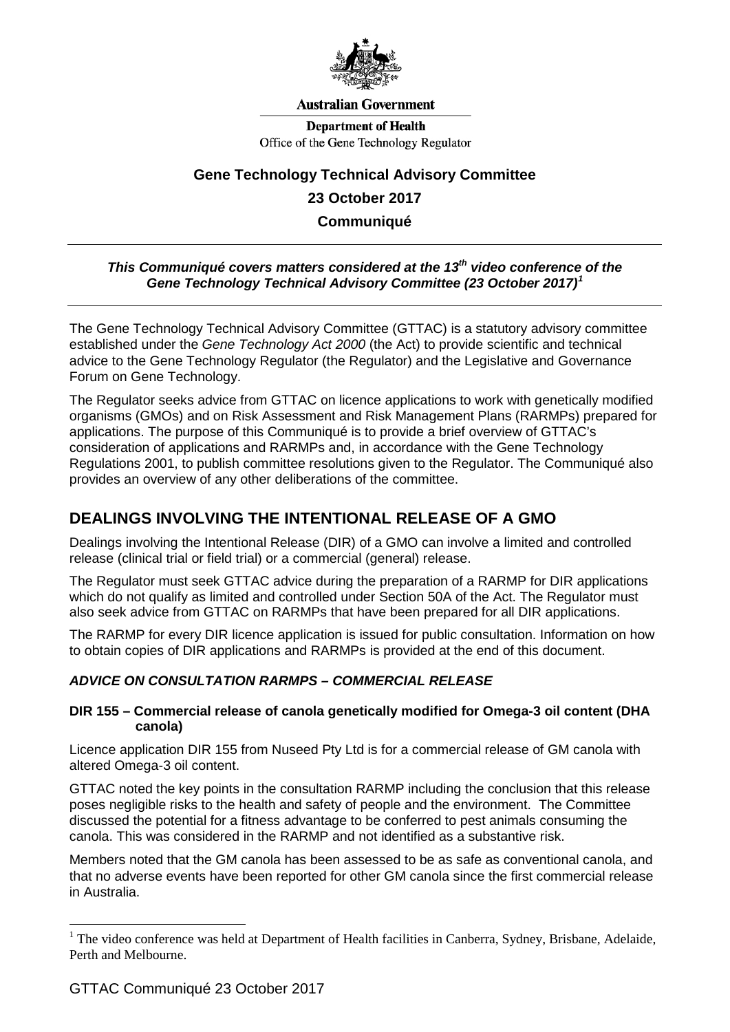

#### **Australian Government**

**Department of Health** Office of the Gene Technology Regulator

# **Gene Technology Technical Advisory Committee 23 October 2017 Communiqué**

## *This Communiqué covers matters considered at the 13th video conference of the Gene Technology Technical Advisory Committee (23 October 2017) [1](#page-0-0)*

The Gene Technology Technical Advisory Committee (GTTAC) is a statutory advisory committee established under the *Gene Technology Act 2000* (the Act) to provide scientific and technical advice to the Gene Technology Regulator (the Regulator) and the Legislative and Governance Forum on Gene Technology.

The Regulator seeks advice from GTTAC on licence applications to work with genetically modified organisms (GMOs) and on Risk Assessment and Risk Management Plans (RARMPs) prepared for applications. The purpose of this Communiqué is to provide a brief overview of GTTAC's consideration of applications and RARMPs and, in accordance with the Gene Technology Regulations 2001, to publish committee resolutions given to the Regulator. The Communiqué also provides an overview of any other deliberations of the committee.

## **DEALINGS INVOLVING THE INTENTIONAL RELEASE OF A GMO**

Dealings involving the Intentional Release (DIR) of a GMO can involve a limited and controlled release (clinical trial or field trial) or a commercial (general) release.

The Regulator must seek GTTAC advice during the preparation of a RARMP for DIR applications which do not qualify as limited and controlled under Section 50A of the Act. The Regulator must also seek advice from GTTAC on RARMPs that have been prepared for all DIR applications.

The RARMP for every DIR licence application is issued for public consultation. Information on how to obtain copies of DIR applications and RARMPs is provided at the end of this document.

## *ADVICE ON CONSULTATION RARMPS – COMMERCIAL RELEASE*

#### **DIR 155 – Commercial release of canola genetically modified for Omega-3 oil content (DHA canola)**

Licence application DIR 155 from Nuseed Pty Ltd is for a commercial release of GM canola with altered Omega-3 oil content.

GTTAC noted the key points in the consultation RARMP including the conclusion that this release poses negligible risks to the health and safety of people and the environment. The Committee discussed the potential for a fitness advantage to be conferred to pest animals consuming the canola. This was considered in the RARMP and not identified as a substantive risk.

Members noted that the GM canola has been assessed to be as safe as conventional canola, and that no adverse events have been reported for other GM canola since the first commercial release in Australia.

<u>.</u>

<span id="page-0-0"></span><sup>&</sup>lt;sup>1</sup> The video conference was held at Department of Health facilities in Canberra, Sydney, Brisbane, Adelaide, Perth and Melbourne.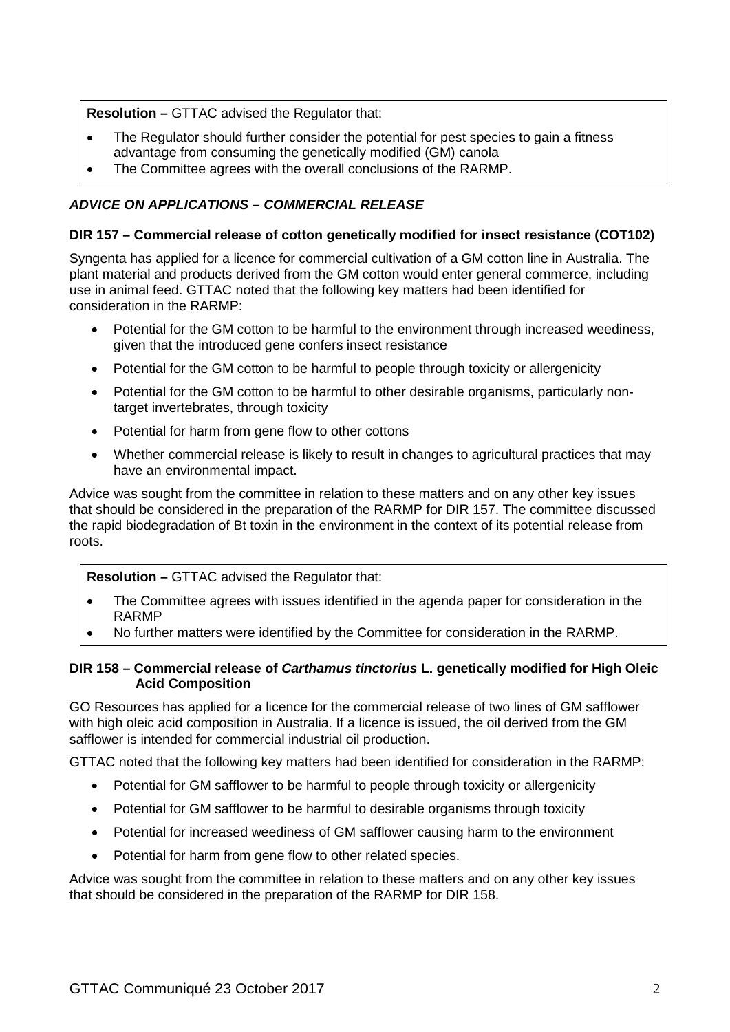**Resolution –** GTTAC advised the Regulator that:

- The Regulator should further consider the potential for pest species to gain a fitness advantage from consuming the genetically modified (GM) canola
- The Committee agrees with the overall conclusions of the RARMP.

## *ADVICE ON APPLICATIONS – COMMERCIAL RELEASE*

### **DIR 157 – Commercial release of cotton genetically modified for insect resistance (COT102)**

Syngenta has applied for a licence for commercial cultivation of a GM cotton line in Australia. The plant material and products derived from the GM cotton would enter general commerce, including use in animal feed. GTTAC noted that the following key matters had been identified for consideration in the RARMP:

- Potential for the GM cotton to be harmful to the environment through increased weediness, given that the introduced gene confers insect resistance
- Potential for the GM cotton to be harmful to people through toxicity or allergenicity
- Potential for the GM cotton to be harmful to other desirable organisms, particularly nontarget invertebrates, through toxicity
- Potential for harm from gene flow to other cottons
- Whether commercial release is likely to result in changes to agricultural practices that may have an environmental impact.

Advice was sought from the committee in relation to these matters and on any other key issues that should be considered in the preparation of the RARMP for DIR 157. The committee discussed the rapid biodegradation of Bt toxin in the environment in the context of its potential release from roots.

**Resolution –** GTTAC advised the Regulator that:

- The Committee agrees with issues identified in the agenda paper for consideration in the RARMP
- No further matters were identified by the Committee for consideration in the RARMP.

#### **DIR 158 – Commercial release of** *Carthamus tinctorius* **L. genetically modified for High Oleic Acid Composition**

GO Resources has applied for a licence for the commercial release of two lines of GM safflower with high oleic acid composition in Australia. If a licence is issued, the oil derived from the GM safflower is intended for commercial industrial oil production.

GTTAC noted that the following key matters had been identified for consideration in the RARMP:

- Potential for GM safflower to be harmful to people through toxicity or allergenicity
- Potential for GM safflower to be harmful to desirable organisms through toxicity
- Potential for increased weediness of GM safflower causing harm to the environment
- Potential for harm from gene flow to other related species.

Advice was sought from the committee in relation to these matters and on any other key issues that should be considered in the preparation of the RARMP for DIR 158.